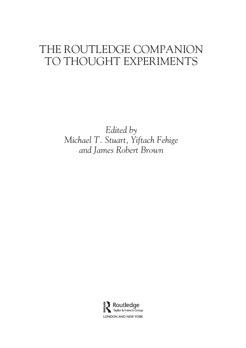## THE ROUTLEDGE COMPANION TO THOUGHT EXPERIMENTS

Edited by Michael T. Stuart, Yiftach Fehige and James Robert Brown

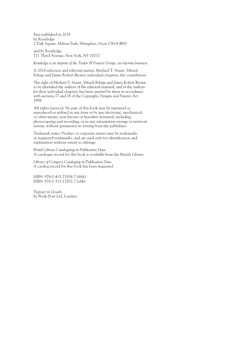First published in 2018 by Routledge 2 Park Square, Milton Park, Abingdon, Oxon OX14 4RN

and by Routledge 711 Third Avenue, New York, NY 10017

*Routledge is an imprint of the Taylor & Francis Group, an informa business*

 2018 selection and editorial matter, Michael T. Stuart, Yiftach Fehige and James Robert Brown; individual chapters, the contributors

The right of Michael T. Stuart, Yiftach Fehige and James Robert Brown to be identified the authors of the editorial material, and of the authors for their individual chapters, has been asserted by them in accordance with sections 77 and 78 of the Copyright, Designs and Patents Act 1988.

All rights reserved. No part of this book may be reprinted or reproduced or utilised in any form or by any electronic, mechanical, or other means, now known or hereafter invented, including photocopying and recording, or in any information storage or retrieval system, without permission in writing from the publishers.

*Trademark notice*: Product or corporate names may be trademarks or registered trademarks, and are used only for identification and explanation without intent to infringe.

*British Library Cataloguing-in-Publication Data* A catalogue record for this book is available from the British Library

*Library of Congress Cataloging-in-Publication Data* A catalog record for this book has been requested

ISBN: 978-0-415-73508-7 (hbk) ISBN: 978-1-315-17502-7 (ebk)

Typeset in Goudy by Book Now Ltd, London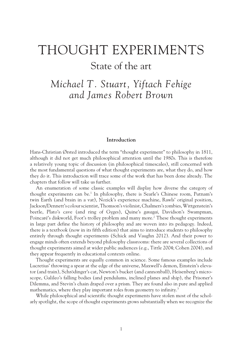# THOUGHT EXPERIMENTS State of the art

### *Michael T. Stuart, Yiftach Fehige and James Robert Brown*

#### **Introduction**

Hans-Christian Ørsted introduced the term "thought experiment" to philosophy in 1811, although it did not get much philosophical attention until the 1980s. This is therefore a relatively young topic of discussion (in philosophical timescales), still concerned with the most fundamental questions of what thought experiments are, what they do, and how they do it. This introduction will trace some of the work that has been done already. The chapters that follow will take us further.

An enumeration of some classic examples will display how diverse the category of thought experiments can be.<sup>1</sup> In philosophy, there is Searle's Chinese room, Putnam's twin Earth (and brain in a vat), Nozick's experience machine, Rawls' original position, Jackson/Dennett's colour scientist, Thomson's violinist, Chalmers's zombies, Wittgenstein's beetle, Plato's cave (and ring of Gyges), Quine's *gavagai*, Davidson's Swampman, Poincaré's diskworld, Foot's trolley problem and many more.<sup>2</sup> These thought experiments in large part define the history of philosophy and are woven into its pedagogy. Indeed, there is a textbook (now in its fifth edition) that aims to introduce students to philosophy entirely through thought experiments (Schick and Vaughn 2012). And their power to engage minds often extends beyond philosophy classrooms: there are several collections of thought experiments aimed at wider public audiences (e.g., Tittle 2004; Cohen 2004), and they appear frequently in educational contexts online.

Thought experiments are equally common in science. Some famous examples include Lucretius' throwing a spear at the edge of the universe, Maxwell's demon, Einstein's elevator (and train), Schrödinger's cat, Newton's bucket (and cannonball), Heisenberg's microscope, Galileo's falling bodies (and pendulums, inclined planes and ship), the Prisoner's Dilemma, and Stevin's chain draped over a prism. They are found also in pure and applied mathematics, where they play important roles from geometry to infinity.<sup>3</sup>

While philosophical and scientific thought experiments have stolen most of the scholarly spotlight, the scope of thought experiments grows substantially when we recognize the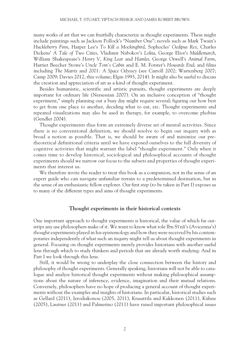many works of art that we can fruitfully characterize as thought experiments. These might include paintings such as Jackson Pollock's "Number One"; novels such as Mark Twain's *Huckleberry Finn*, Harper Lee's *To Kill a Mockingbird*, Sophocles' *Oedipus Rex*, Charles Dickens' *A Tale of Two Cities*, Vladimir Nabokov's *Lolita*, George Eliot's *Middlemarch*, William Shakespeare's *Henry V*, *King Lear* and *Hamlet*, George Orwell's *Animal Farm*, Harriet Beecher Stowe's *Uncle Tom's Cabin* and E. M. Forster's *Howards End*; and films including *The Matrix* and *2001: A Space Odyssey* (see Carroll 2002; Wartenberg 2007; Camp 2009; Davies 2012, this volume; Elgin 1993, 2014). It might also be useful to discuss the creation and appreciation of art as a kind of thought experiment.

Besides humanistic, scientific and artistic pursuits, thought experiments are deeply important for ordinary life (Nersessian 2007). On an inclusive conception of "thought experiment," simply planning out a busy day might require several; figuring out how best to get from one place to another, deciding what to eat, etc. Thought experiments and repeated visualizations may also be used in therapy, for example, to overcome phobias (Gendler 2004).

Thought experiments thus form an extremely diverse set of mental activities. Since there is no conventional definition, we should resolve to begin our inquiry with as broad a notion as possible. That is, we should be aware of and minimize our pretheoretical definitional criteria until we have exposed ourselves to the full diversity of cognitive activities that might warrant the label "thought experiment." Only when it comes time to develop historical, sociological and philosophical accounts of thought experiments should we narrow our focus to the subsets and properties of thought experiments that interest us.

We therefore invite the reader to treat this book as a companion, not in the sense of an expert guide who can navigate unfamiliar terrain to a predetermined destination, but in the sense of an enthusiastic fellow explorer. Our first step (to be taken in Part I) exposes us to many of the different types and aims of thought experiments.

#### **Thought experiments in their historical contexts**

One important approach to thought experiments is historical, the value of which far outstrips any use philosophers make of it. We want to know what role Ibn STna<sup>3</sup>'s (Avicenna<sup>'s</sup>) thought experiments played in his epistemology and how they were received by his contemporaries independently of what such an inquiry might tell us about thought experiments in general. Focusing on thought experiments merely provides historians with another useful lens through which to study thinkers and periods that are already worth studying. And in Part I we look through this lens.

Still, it would be wrong to underplay the close connection between the history and philosophy of thought experiments. Generally speaking, historians will not be able to catalogue and analyze historical thought experiments without making philosophical assumptions about the nature of inference, evidence, imagination and their mutual relations. Conversely, philosophers have no hope of producing a general account of thought experiments without the examples and insights of historians. In particular, historical studies such as Gellard (2011), Ierodiakonou (2005, 2011), Knuuttila and Kukkonen (2011), Kühne (2005), Lautner (2011) and Palmerino (2011) have raised important philosophical issues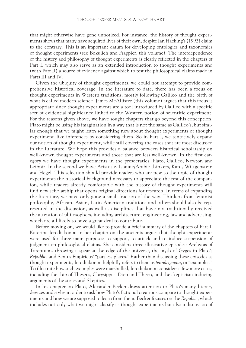that might otherwise have gone unnoticed. For instance, the history of thought experiments shows that many have acquired lives of their own, despite Ian Hacking's (1992) claim to the contrary. This is an important datum for developing ontologies and taxonomies of thought experiments (see Bokulich and Frappier, this volume). The interdependence of the history and philosophy of thought experiments is clearly reflected in the chapters of Part I, which may also serve as an extended introduction to thought experiments and (with Part II) a source of evidence against which to test the philosophical claims made in Parts III and IV.

Given the ubiquity of thought experiments, we could not attempt to provide comprehensive historical coverage. In the literature to date, there has been a focus on thought experiments in Western traditions, mostly following Galileo and the birth of what is called modern science. James McAllister (this volume) argues that this focus is appropriate since thought experiments are a tool introduced by Galileo with a specific sort of evidential significance linked to the Western notion of scientific experiment. For the reasons given above, we have sought chapters that go beyond this conception. Plato might be using his imagination in a way that is not the same as Galileo's, but similar enough that we might learn something new about thought experiments or thought experiment–like inferences by considering them. So in Part I, we tentatively expand our notion of thought experiment, while still covering the cases that are most discussed in the literature. We hope this provides a balance between historical scholarship on well-known thought experiments and those that are less well-known. In the first category we have thought experiments in the presocratics, Plato, Galileo, Newton and Leibniz. In the second we have Aristotle, Islamic/Arabic thinkers, Kant, Wittgenstein and Hegel. This selection should provide readers who are new to the topic of thought experiments the historical background necessary to appreciate the rest of the companion, while readers already comfortable with the history of thought experiments will find new scholarship that opens original directions for research. In terms of expanding the literature, we have only gone a small fraction of the way. Thinkers from feminist philosophy, African, Asian, Latin American traditions and others should also be represented in the discussion, as well as disciplines that have not traditionally received the attention of philosophers, including architecture, engineering, law and advertising, which are all likely to have a great deal to contribute.

Before moving on, we would like to provide a brief summary of the chapters of Part I. Katerina Ierodiakonou in her chapter on the ancients argues that thought experiments were used for three main purposes: to support, to attack and to induce suspension of judgment on philosophical claims. She considers three illustrative episodes: Archytas of Tarentum's throwing a spear at the edge of the universe, the myth of Gyges in Plato's *Republic*, and Sextus Empiricus' "partless places." Rather than discussing these episodes as thought experiments, Ierodiakonou helpfully refers to them as *paradeigmata*, or "examples." To illustrate how such examples were marshalled, Ierodiakonou considers a few more cases, including the ship of Theseus, Chrysippus' Dion and Theon, and the skepticism-inducing arguments of the stoics and Skeptics.

In his chapter on Plato, Alexander Becker draws attention to Plato's many literary devices and styles in order to ask how Plato's fictional creations compare to thought experiments and how we are supposed to learn from them. Becker focuses on the *Republic*, which includes not only what we might classify as thought experiments but also a discussion of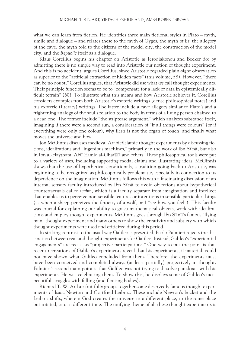what we can learn from fiction. He identifies three main fictional styles in Plato – myth, simile and dialogue – and relates these to the myth of Gyges, the myth of Er, the allegory of the cave, the myth told to the citizens of the model city, the construction of the model city, and the *Republic* itself as a dialogue.

Klaus Corcilius begins his chapter on Aristotle as Ierodiakonou and Becker do: by admitting there is no simple way to read into Aristotle our notion of thought experiment. And this is no accident, argues Corcilius, since Aristotle regarded plain-sight observation as superior to the "artificial extraction of hidden facts" (this volume, 58). However, "there can be no doubt," Corcilius argues, that Aristotle did use what *we* call thought experiments. Their principle function seems to be to "compensate for a lack of data in epistemically difficult terrain" (60). To illustrate what this means and how Aristotle achieves it, Corcilius considers examples from both Aristotle's esoteric writings (dense philosophical notes) and his exoteric (literary) writings. The latter include a cave allegory similar to Plato's and a frightening analogy of the soul's relation to the body in terms of a living person chained to a dead one. The former include "the striptease argument," which analyzes substance itself, imagining if there were a second sun, a consideration of "if all things were colours" (or if everything were only one colour), why flesh is not the organ of touch, and finally what moves the universe and how.

Jon McGinnis discusses medieval Arabic/Islamic thought experiments by discussing fictions, idealizations and "ingenious machines," primarily in the work of Ibn S⊤n<del>a</del>, but also in Ibn al-Haytham, Abū Hamid al-Ghazālī and others. These philosophical tools were put to a variety of uses, including supporting modal claims and illustrating ideas. McGinnis shows that the use of hypothetical conditionals, a tradition going back to Aristotle, was beginning to be recognized as philosophically problematic, especially in connection to its dependence on the imagination. McGinnis follows this with a fascinating discussion of an internal sensory faculty introduced by Ibn S⊤n<del>a</del> to avoid objections about hypothetical counterfactuals called *wahm*, which is a faculty separate from imagination and intellect that enables us to perceive non-sensible features or intentions in sensible particular things (as when a sheep perceives the ferocity of a wolf, or I "see how you feel"). This faculty was crucial for explaining our ability to grasp mathematical objects, work with idealizations and employ thought experiments. McGinnis goes through Ibn STna<sup>2</sup>s famous "flying man" thought experiment and many others to show the creativity and subtlety with which thought experiments were used and criticized during this period.

In striking contrast to the usual way Galileo is presented, Paolo Palmieri rejects the distinction between real and thought experiments for Galileo. Instead, Galileo's "experiential engagements" are recast as "projective participations." One way to put the point is that recent recreations of Galileo's experiments reveal that his experiments, if material, could not have shown what Galileo concluded from them. Therefore, the experiments must have been conceived and completed always (at least partially) projectively in thought. Palmieri's second main point is that Galileo was not trying to dissolve paradoxes with his experiments. He was celebrating them. To show this, he displays some of Galileo's most beautiful struggles with falling (and floating bodies).

Richard T. W. Arthur fruitfully groups together some deservedly famous thought experiments of Isaac Newton and Gottfried Leibniz. These include Newton's bucket and the Leibniz shifts, wherein God creates the universe in a different place, in the same place but rotated, or at a different time. The unifying theme of all these thought experiments is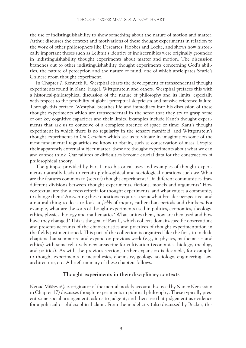the use of indistinguishability to show something about the nature of motion and matter. Arthur discusses the context and motivations of these thought experiments in relation to the work of other philosophers like Descartes, Hobbes and Locke, and shows how historically important theses such as Leibniz's identity of indiscernibles were originally grounded in indistinguishability thought experiments about matter and motion. The discussion branches out to other indistinguishability thought experiments concerning God's abilities, the nature of perception and the nature of mind, one of which anticipates Searle's Chinese room thought experiment.

In Chapter 7, Kenneth R. Westphal charts the development of transcendental thought experiments found in Kant, Hegel, Wittgenstein and others. Westphal prefaces this with a historical-philosophical discussion of the nature of philosophy and its limits, especially with respect to the possibility of global perceptual skepticism and massive reference failure. Through this preface, Westphal breathes life and immediacy into his discussion of these thought experiments which are transcendental in the sense that they try to grasp some of our key cognitive capacities and their limits. Examples include Kant's thought experiments that ask us to conceive of a complete absence of space or time; Kant's thought experiment in which there is no regularity in the sensory manifold; and Wittgenstein's thought experiments in *On Certainty* which ask us to violate in imagination some of the most fundamental regularities we know to obtain, such as conservation of mass. Despite their apparently external subject matter, these are thought experiments about what we can and cannot think. Our failures or difficulties become crucial data for the construction of philosophical theory.

The glimpse provided by Part I into historical uses and examples of thought experiments naturally leads to certain philosophical and sociological questions such as: What are the features common to (sets of) thought experiments? Do different communities draw different divisions between thought experiments, fictions, models and arguments? How contextual are the success criteria for thought experiments, and what causes a community to change them? Answering these questions requires a somewhat broader perspective, and a natural thing to do is to look at *fields* of inquiry rather than periods and thinkers. For example, what are the sorts of thought experiments used in politics, economics, theology, ethics, physics, biology and mathematics? What unites them, how are they used and how have they changed? This is the goal of Part II, which collects domain-specific observations and presents accounts of the characteristics and practices of thought experimentation in the fields just mentioned. This part of the collection is organized like the first, to include chapters that summarize and expand on previous work (e.g., in physics, mathematics and ethics) with some relatively new areas ripe for cultivation (economics, biology, theology and politics). As with the previous section, further expansion is desirable, for example, to thought experiments in metaphysics, chemistry, geology, sociology, engineering, law, architecture, etc. A brief summary of these chapters follows.

#### **Thought experiments in their disciplinary contexts**

Nenad Miščević (co-originator of the mental models account discussed by Nancy Nersessian in Chapter 17) discusses thought experiments in political philosophy. These typically present some social arrangement, ask us to judge it, and then use that judgement as evidence for a political or philosophical claim. From the model city (also discussed by Becker, this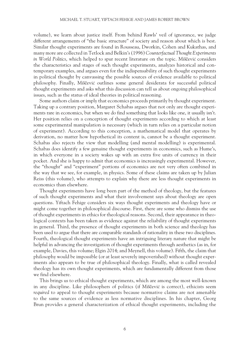volume), we learn about justice itself. From behind Rawls' veil of ignorance, we judge different arrangements of "the basic structure" of society and reason about which is best. Similar thought experiments are found in Rousseau, Dworkin, Cohen and Kukathas, and many more are collected in Tetlock and Belkin's (1996) *Counterfactual Thought Experiments in World Politics*, which helped to spur recent literature on the topic. Miščević considers the characteristics and stages of such thought experiments, analyzes historical and contemporary examples, and argues even for the indispensability of such thought experiments in political thought by canvassing the possible sources of evidence available to political philosophy. Finally, Miščević outlines some general desiderata for successful political thought experiments and asks what this discussion can tell us about ongoing philosophical issues, such as the status of ideal theories in political reasoning.

Some authors claim or imply that economics proceeds primarily by thought experiment. Taking up a contrary position, Margaret Schabas argues that not only are thought experiments rare in economics, but when we do find something that looks like one, it usually isn't. Her position relies on a conception of thought experiments according to which at least some experimental manipulation is necessary (which in turn relies on a particular notion of experiment). According to this conception, a mathematical model that operates by derivation, no matter how hypothetical its content is, cannot be a thought experiment. Schabas also rejects the view that modelling (and mental modelling) is experimental. Schabas does identify a few genuine thought experiments in economics, such as Hume's, in which everyone in a society wakes up with an extra five units of currency in their pocket. And she is happy to admit that economics is increasingly experimental. However, the "thought" and "experiment" portions of economics are not very often combined in the way that we see, for example, in physics. Some of these claims are taken up by Julian Reiss (this volume), who attempts to explain why there are less thought experiments in economics than elsewhere.

Thought experiments have long been part of the method of theology, but the features of such thought experiments and what their involvement says about theology are open questions. Yiftach Fehige considers six ways thought experiments and theology have or might come together in philosophical discourse. First, there are some who dismiss the use of thought experiments in ethics for theological reasons. Second, their appearance in theological contexts has been taken as evidence against the reliability of thought experiments in general. Third, the presence of thought experiments in both science and theology has been used to argue that there are comparable standards of rationality in these two disciplines. Fourth, theological thought experiments have an intriguing literary nature that might be helpful in advancing the investigation of thought experiments through aesthetics (as in, for example, Davies, this volume; Elgin 2014; and Meynell, this volume). Fifth, the claim that philosophy would be impossible (or at least severely impoverished) without thought experiments also appears to be true of philosophical theology. Finally, what is called revealed theology has its own thought experiments, which are fundamentally different from those we find elsewhere.

This brings us to ethical thought experiments, which are among the most well-known in any discipline. Like philosophers of politics (if Miščević is correct), ethicists seem *required* to appeal to thought experiments because normative claims are not amenable to the same sources of evidence as less normative disciplines. In his chapter, Georg Brun provides a general characterization of ethical thought experiments, including the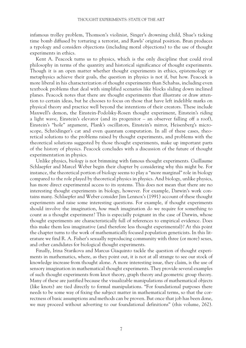infamous trolley problem, Thomson's violinist, Singer's drowning child, Shue's ticking time bomb diffused by torturing a terrorist, and Rawls' original position. Brun produces a typology and considers objections (including moral objections) to the use of thought experiments in ethics.

Kent A. Peacock turns us to physics, which is the only discipline that could rival philosophy in terms of the quantity and historical significance of thought experiments. Though it is an open matter whether thought experiments in ethics, epistemology or metaphysics achieve their goals, the question in physics is not if, but how. Peacock is more liberal in his characterization of thought experiments than Schabas, including even textbook problems that deal with simplified scenarios like blocks sliding down inclined planes. Peacock notes that there are thought experiments that illustrate or draw attention to certain ideas, but he chooses to focus on those that have left indelible marks on physical theory and practice well beyond the intentions of their creators. These include Maxwell's demon, the Einstein-Podolsky-Rosen thought experiment, Einstein's riding a light wave, Einstein's elevator (and its progenitor – an observer falling off a roof), Einstein's "hole" argument, Plank's oscillators, Einstein's mirror, Heisenberg's microscope, Schrödinger's cat and even quantum computation. In all of these cases, theoretical solutions to the problems raised by thought experiments, and problems with the theoretical solutions suggested by those thought experiments, make up important parts of the history of physics. Peacock concludes with a discussion of the future of thought experimentation in physics.

Unlike physics, biology is not brimming with famous thought experiments. Guillaume Schlaepfer and Marcel Weber begin their chapter by considering why this might be. For instance, the theoretical portion of biology seems to play a "more marginal" role in biology compared to the role played by theoretical physics in physics. And biology, unlike physics, has more direct experimental access to its systems. This does not mean that there are no interesting thought experiments in biology, however. For example, Darwin's work contains many. Schlaepfer and Weber consider Jim Lennox's (1991) account of these thought experiments and raise some interesting questions. For example, if thought experiments should involve the imagination, *how much* imagination do we require for something to count as a thought experiment? This is especially poignant in the case of Darwin, whose thought experiments are characteristically full of references to empirical evidence. Does this make them less imaginative (and therefore less thought experimental)? At this point the chapter turns to the work of mathematically focused population geneticists. In this literature we find R. A. Fisher's sexually reproducing community with three (or more) sexes, and other candidates for biological thought experiments.

Finally, Irina Starikova and Marcus Giaquinto tackle the question of thought experiments in mathematics, where, as they point out, it is not at all strange to see our stock of knowledge increase from thought alone. A more interesting issue, they claim, is the use of sensory imagination in mathematical thought experiments. They provide several examples of such thought experiments from knot theory, graph theory and geometric group theory. Many of these are justified because the visualizable manipulations of mathematical objects (like knots) are tied directly to formal manipulations. "For foundational purposes there needs to be some way of fixing the subject matter in mathematical terms, so that the correctness of basic assumptions and methods can be proven. But once that job has been done, we may proceed without adverting to our foundational definitions" (this volume, 262).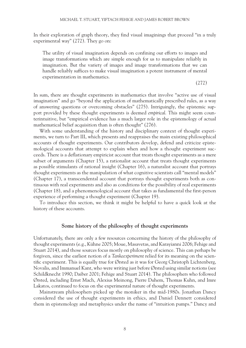In their exploration of graph theory, they find visual imaginings that proceed "in a truly experimental way" (272). They go on:

The utility of visual imagination depends on confining our efforts to images and image transformations which are simple enough for us to manipulate reliably in imagination. But the variety of images and image transformations that we can handle reliably suffices to make visual imagination a potent instrument of mental experimentation in mathematics.

(272)

In sum, there are thought experiments in mathematics that involve "active use of visual imagination" and go "beyond the application of mathematically prescribed rules, as a way of answering questions or overcoming obstacles" (275). Intriguingly, the epistemic support provided by these thought experiments is deemed *empirical*. This might seem counterintuitive, but "empirical evidence has a much larger role in the epistemology of actual mathematical belief acquisition than is often thought" (276).

With some understanding of the history and disciplinary context of thought experiments, we turn to Part III, which presents and reappraises the main existing philosophical accounts of thought experiments. Our contributors develop, defend and criticize epistemological accounts that attempt to explain when and how a thought experiment succeeds. There is a deflationary empiricist account that treats thought experiments as a mere subset of arguments (Chapter 15), a rationalist account that treats thought experiments as possible stimulants of rational insight (Chapter 16), a naturalist account that portrays thought experiments as the manipulation of what cognitive scientists call "mental models" (Chapter 17), a transcendental account that portrays thought experiments both as continuous with real experiments and also as conditions for the possibility of real experiments (Chapter 18), and a phenomenological account that takes as fundamental the first-person experience of performing a thought experiment (Chapter 19).

To introduce this section, we think it might be helpful to have a quick look at the history of these accounts.

#### **Some history of the philosophy of thought experiments**

Unfortunately, there are only a few resources concerning the history of the philosophy of thought experiments (e.g., Kühne 2005; Moue, Masavetas, and Karayianni 2006; Fehige and Stuart 2014), and those sources focus mostly on philosophy of science. This can perhaps be forgiven, since the earliest notion of a *Tankeexperiment* relied for its meaning on the scientific experiment. This is equally true for Ørsted as it was for Georg Christoph Lichtenberg, Novalis, and Immanuel Kant, who were writing just before Ørsted using similar notions (see Schildknecht 1990; Daiber 2001; Fehige and Stuart 2014). The philosophers who followed Ørsted, including Ernst Mach, Alexius Meinong, Pierre Duhem, Thomas Kuhn, and Imre Lakatos, continued to focus on the experimental nature of thought experiments.

Mainstream philosophers picked up the moniker in the mid-1980s. Jonathan Dancy considered the use of thought experiments in ethics, and Daniel Dennett considered them in epistemology and metaphysics under the name of "intuition pumps." Dancy and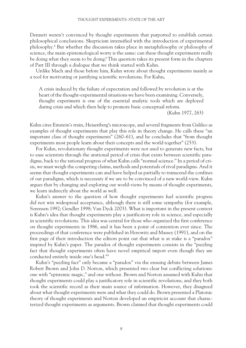Dennett weren't convinced by thought experiments that purported to establish certain philosophical conclusions. Skepticism intensified with the introduction of experimental philosophy.4 But whether the discussion takes place in metaphilosophy or philosophy of science, the main epistemological worry is the same: can these thought experiments really be doing what they seem to be doing? This question takes its present form in the chapters of Part III through a dialogue that we think started with Kuhn.

Unlike Mach and those before him, Kuhn wrote about thought experiments mainly as a tool for motivating or justifying scientific revolutions. For Kuhn,

A crisis induced by the failure of expectation and followed by revolution is at the heart of the thought-experimental situations we have been examining. Conversely, thought experiment is one of the essential analytic tools which are deployed during crisis and which then help to promote basic conceptual reform.

(Kuhn 1977, 263)

Kuhn cites Einstein's train, Heisenberg's microscope, and several fragments from Galileo as examples of thought experiments that play this role in theory change. He calls these "an important class of thought experiments" (260–61), and he concludes that "from thought experiments most people learn about their concepts and the world together" (253).

For Kuhn, revolutionary thought experiments were not used to generate new facts, but to ease scientists through the arational period of crisis that exists between scientific paradigms, back to the rational progress of what Kuhn calls "normal science." In a period of crisis, we must weigh the competing claims, methods and potentials of rival paradigms. And it seems that thought experiments can and have helped us partially to transcend the confines of our paradigms, which is necessary if we are to be convinced of a new world-view. Kuhn argues that by changing and exploring our world-views by means of thought experiments, we learn indirectly about the world as well.

Kuhn's answer to the question of how thought experiments fuel scientific progress did not win widespread acceptance, although there is still some sympathy (for example, Sorensen 1992; Gendler 1998; Van Dyck 2003). What is important in the present context is Kuhn's idea that thought experiments play a justificatory role in science, and especially in scientific revolutions. This idea was central for those who organized the first conference on thought experiments in 1986, and it has been a point of contention ever since. The proceedings of that conference were published in Horowitz and Massey (1991), and on the first page of their introduction the editors point out that what is at stake is a "paradox" inspired by Kuhn's paper. The paradox of thought experiments consists in the "puzzling fact that thought experiments often have novel empirical import even though they are conducted entirely inside one's head."5

Kuhn's "puzzling fact" only became a "paradox" via the ensuing debate between James Robert Brown and John D. Norton, which presented two clear but conflicting solutions: one with "epistemic magic," and one without. Brown and Norton assumed with Kuhn that thought experiments could play a justificatory role in scientific revolutions, and they both took the scientific record as their main source of information. However, they disagreed about what thought experiments were and what they could do. Brown presented a Platonic theory of thought experiments and Norton developed an empiricist account that characterized thought experiments as arguments. Brown claimed that thought experiments could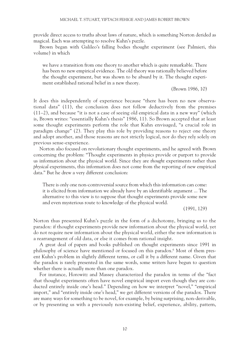provide direct access to truths about laws of nature, which is something Norton derided as magical. Each was attempting to resolve Kuhn's puzzle.

Brown began with Galileo's falling bodies thought experiment (see Palmieri, this volume) in which

we have a transition from one theory to another which is quite remarkable. There has been *no* new empirical evidence. The old theory was rationally believed before the thought experiment, but was shown to be absurd by it. The thought experiment established rational belief in a new theory.

(Brown 1986, 10)

It does this independently of experience because "there has been no new observational data" (11), the conclusion does not follow deductively from the premises (11–2), and because "it is not a case of seeing old empirical data in a new way" (which is, Brown writes: "essentially Kuhn's thesis" 1986, 11). So Brown accepted that at least some thought experiments perform the role that Kuhn envisaged, "a crucial role in paradigm change" (2). They play this role by providing reasons to reject one theory and adopt another, and those reasons are not strictly logical, nor do they rely solely on previous sense-experience.

Norton also focused on revolutionary thought experiments, and he agreed with Brown concerning the problem: "Thought experiments in physics provide or purport to provide us information about the physical world. Since they are *thought* experiments rather than *physical* experiments, this information does not come from the reporting of new empirical data." But he drew a very different conclusion:

There is only one non-controversial source from which this information can come: it is elicited from information we already have by an identifiable argument ... The alternative to this view is to suppose that thought experiments provide some new and even mysterious route to knowledge of the physical world.

(1991, 129)

Norton thus presented Kuhn's puzzle in the form of a dichotomy, bringing us to the paradox: if thought experiments provide new information about the physical world, yet do not require new information about the physical world, either the new information is a rearrangement of old data, or else it comes from rational insight.

A great deal of papers and books published on thought experiments since 1991 in philosophy of science have mentioned or focused on this paradox.6 Most of them present Kuhn's problem in slightly different terms, or call it by a different name. Given that the paradox is rarely presented in the same words, some writers have begun to question whether there is actually more than one paradox.

For instance, Horowitz and Massey characterized the paradox in terms of the "fact that thought experiments often have novel empirical import even though they are conducted entirely inside one's head." Depending on how we interpret "novel," "empirical import," and "entirely inside one's head," we get different versions of the paradox. There are many ways for something to be novel, for example, by being surprising, non-derivable, or by presenting us with a previously non-existing belief, experience, ability, pattern,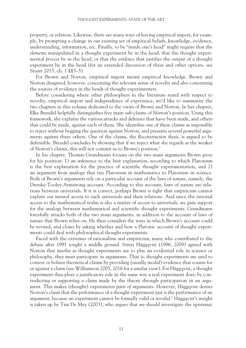property, or relation. Likewise, there are many ways of having empirical import, for example, by prompting a change in our existing set of empirical beliefs, knowledge, evidence, understanding, information, etc. Finally, to be "inside one's head" might require that the *elements* manipulated in a thought experiment be in the head, that the thought experimental *process* be in the head, or that the *evidence* that justifies the output of a thought experiment be in the head (for an extended discussion of these and other options, see Stuart 2015, ch. 1 §§3–5).

For Brown and Norton, empirical import meant empirical knowledge. Brown and Norton disagreed, however, concerning the relevant sense of novelty and also concerning the sources of evidence in the heads of thought experimenters.

Before considering where other philosophers in the literature stand with respect to novelty, empirical import and independence of experience, we'd like to summarize the two chapters in this volume dedicated to the views of Brown and Norton. In her chapter, Elke Brendel helpfully distinguishes five main sub-claims of Norton's position. Using this framework, she explains the various attacks and defenses that have been made, and others that could be made, against each of them. She identifies one of these claims as impossible to reject without begging the question against Norton, and presents several powerful arguments against three others. One of the claims, the *Reconstruction thesis*, is argued to be defensible. Brendel concludes by showing that if we reject what she regards as the weaker of Norton's claims, this will not commit us to Brown's position.7

In his chapter, Thomas Grundmann focuses on the two main arguments Brown gives for his position: 1) an inference to the best explanation, according to which Platonism is the best explanation for the practice of scientific thought experimentation, and 2) an argument from analogy that ties Platonism in mathematics to Platonism in science. Both of Brown's arguments rely on a particular account of the laws of nature, namely, the Dretske-Tooley-Armstrong account. According to this account, laws of nature are relations between universals. If it is correct, perhaps Brown is right that empiricism cannot explain our mental access to such universals and their relations. And since the rational access to the mathematical realm is *also* a matter of access to universals, we gain support for the analogy between mathematical and scientific thought experiments. Grundmann forcefully attacks both of the two main arguments, in addition to the account of laws of nature that Brown relies on. He then considers the ways in which Brown's account could be revised, and closes by asking whether and how a Platonic account of thought experiments could deal with philosophical thought experiments.

Faced with the extremes of rationalism and empiricism, many who contributed to the debate after 1991 sought a middle ground. Sören Häggqvist (1996, 2009) agreed with Norton that insofar as thought experiments are to play an evidential role in science or philosophy, they must participate in arguments. That is, thought experiments are used to contest or bolster theoretical claims by providing (usually modal) evidence that counts for or against a claim (see Williamson 2005, 2016 for a similar view). For Häggqvist, a thought experiment thus plays a justificatory role in the same way a real experiment does: by contradicting or supporting a claim made by the theory through participation in an argument. This makes (thought) experiments *parts of* arguments. However, Häggqvist denies Norton's claim that the performance of a thought experiment just is the performance of an argument, because an experiment cannot be formally valid or invalid.<sup>8</sup> Häggqvist's insight is taken up by Tim De Mey (2003), who argues that we should investigate the epistemic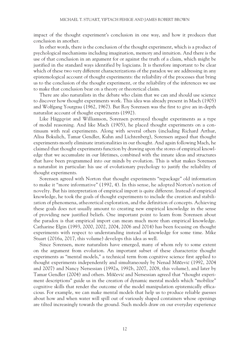impact of the thought experiment's conclusion in one way, and how it produces that conclusion in another.

In other words, there is the conclusion of the thought experiment, which is a product of psychological mechanisms including imagination, memory and intuition. And there is the use of that conclusion in an argument for or against the truth of a claim, which might be justified in the standard ways identified by logicians. It is therefore important to be clear which of these two very different characterizations of the paradox we are addressing in any epistemological account of thought experiments: the reliability of the processes that bring us to the conclusion of the thought experiment, or the reliability of the inferences we use to make that conclusion bear on a theory or theoretical claim.

There are also naturalists in the debate who claim that we can and should use science to discover how thought experiments work. This idea was already present in Mach (1905) and Wolfgang Yourgrau (1962, 1967). But Roy Sorensen was the first to give an in-depth naturalist account of thought experiments (1992).

Like Häggqvist and Williamson, Sorensen portrayed thought experiments as a type of modal reasoning. And like Mach (1905), he placed thought experiments on a continuum with real experiments. Along with several others (including Richard Arthur, Alisa Bokulich, Tamar Gendler, Kuhn and Lichtenberg), Sorensen argued that thought experiments mostly eliminate irrationalities in our thought. And again following Mach, he claimed that thought experiments function by drawing upon the stores of empirical knowledge that we accumulate in our lifetimes, combined with the innate ideas and structures that have been programmed into our minds by evolution. This is what makes Sorensen a naturalist in particular: his use of evolutionary psychology to justify the reliability of thought experiments.

Sorensen agreed with Norton that thought experiments "repackage" old information to make it "more informative" (1992, 4). In this sense, he adopted Norton's notion of novelty. But his interpretation of empirical import is quite different. Instead of empirical knowledge, he took the goals of thought experiments to include the creation and stabilization of phenomena, atheoretical exploration, and the definition of concepts. Achieving these goals does not usually amount to creating new empirical knowledge in the sense of providing new justified beliefs. One important point to learn from Sorensen about the paradox is that empirical import can mean much more than empirical knowledge. Catharine Elgin (1993, 2000, 2002, 2004, 2006 and 2014) has been focusing on thought experiments with respect to understanding instead of knowledge for some time. Mike Stuart (2016a, 2017, this volume) develops this idea as well.

Since Sorensen, more naturalists have emerged, many of whom rely to some extent on the argument from evolution. An important subset of these characterize thought experiments as "mental models," a technical term from cognitive science first applied to thought experiments independently and simultaneously by Nenad Miščević (1992, 2004 and 2007) and Nancy Nersessian (1992a, 1992b, 2007, 2008, this volume), and later by Tamar Gendler (2004) and others. Miščević and Nersessian agreed that "thought experiment descriptions" guide us in the creation of dynamic mental models which "mobilize" cognitive skills that render the outcome of the model manipulation epistemically efficacious. For example, we can make mental models that help us to produce reliable guesses about how and when water will spill out of variously shaped containers whose openings are tilted increasingly towards the ground. Such models draw on our everyday experience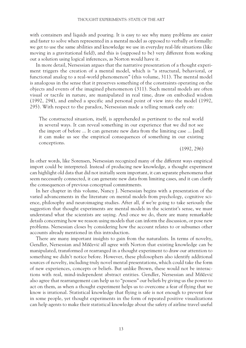with containers and liquids and pouring. It is easy to see why many problems are easier and faster to solve when represented in a mental model as opposed to verbally or formally: we get to use the same abilities and knowledge we use in everyday real-life situations (like moving in a gravitational field), and this is (supposed to be) very different from working out a solution using logical inferences, as Norton would have it.

In more detail, Nersessian argues that the narrative presentation of a thought experiment triggers the creation of a mental model, which is "a structural, behavioral, or functional analog to a real-world phenomenon" (this volume, 311). The mental model is analogous in the sense that it preserves something of the constraints operating on the objects and events of the imagined phenomenon (311). Such mental models are often visual or tactile in nature, are manipulated in real time, draw on embodied wisdom (1992, 294), and embed a specific and personal point of view into the model (1992, 295). With respect to the paradox, Nersessian made a telling remark early on:

The constructed situation, itself, is apprehended as pertinent to the real world in several ways. It can reveal something in our experience that we did not see the import of before ... It can generate new data from the limiting case ... [and] it can make us see the empirical consequences of something in our existing conceptions.

(1992, 296)

In other words, like Sorensen, Nersessian recognized many of the different ways empirical import could be interpreted. Instead of producing new knowledge, a thought experiment can highlight old data that did not initially seem important, it can separate phenomena that seem necessarily connected, it can generate new data from limiting cases, and it can clarify the consequences of previous conceptual commitments.

In her chapter in this volume, Nancy J. Nersessian begins with a presentation of the varied advancements in the literature on mental models from psychology, cognitive science, philosophy and neuroimaging studies. After all, if we're going to take seriously the suggestion that thought experiments are mental models in the scientist's sense, we must understand what the scientists are saying. And once we do, there are many remarkable details concerning how we reason using models that can inform the discussion, or pose new problems. Nersessian closes by considering how the account relates to or subsumes other accounts already mentioned in this introduction.

There are many important insights to gain from the naturalists. In terms of novelty, Gendler, Nersessian and Miščević all agree with Norton that existing knowledge can be manipulated, transformed or rearranged in a thought experiment to draw our attention to something we didn't notice before. However, these philosophers also identify additional sources of novelty, including truly novel mental presentations, which could take the form of new experiences, concepts or beliefs. But unlike Brown, these would not be interactions with real, mind-independent abstract entities. Gendler, Nersessian and Miščević also agree that rearrangement can help us to "possess" our beliefs by giving us the power to act on them, as when a thought experiment helps us to overcome a fear of flying that we know is irrational. Statistical knowledge that flying is safe is not enough to prevent fear in some people, yet thought experiments in the form of repeated positive visualizations can help agents to make their statistical knowledge about the safety of airline travel useful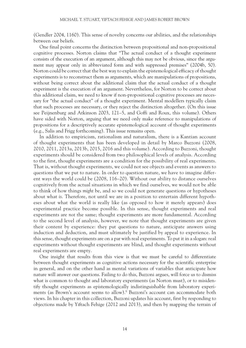(Gendler 2004, 1160). This sense of novelty concerns our abilities, and the relationships between our beliefs.

One final point concerns the distinction between propositional and non-propositional cognitive processes. Norton claims that "The actual conduct of a thought experiment consists of the execution of an argument, although this may not be obvious, since the argument may appear only in abbreviated form and with suppressed premises" (2004b, 50). Norton could be correct that the best way to explain the epistemological efficacy of thought experiments is to reconstruct them as arguments, which are manipulations of propositions, without being correct about the additional claim that the actual conduct of a thought experiment is the execution of an argument. Nevertheless, for Norton to be correct about this additional claim, we need to know if non-propositional cognitive processes are necessary for "the actual conduct" of a thought experiment. Mental modellers typically claim that such processes are necessary, or they reject the distinction altogether. (On this issue see Peijnenburg and Atkinson 2003, 121–5, and Goffi and Roux, this volume). Others have sided with Norton, arguing that we need only make reference to manipulations of propositions for a descriptively accurate epistemological account of thought experiments (e.g., Salis and Frigg forthcoming). This issue remains open.

In addition to empiricism, rationalism and naturalism, there is a Kantian account of thought experiments that has been developed in detail by Marco Buzzoni (2008, 2010, 2011, 2013a, 2013b, 2015, 2016 and this volume). According to Buzzoni, thought experiments should be considered from two philosophical levels of analysis. According to the first, thought experiments are a condition for the possibility of real experiments. That is, without thought experiments, we could not see objects and events as answers to questions that we put to nature. In order to question nature, we have to imagine different ways the world could be (2008, 116–20). Without our ability to distance ourselves cognitively from the actual situations in which we find ourselves, we would not be able to think of how things *might* be, and so we could not generate questions or hypotheses about what *is*. Therefore, not until we are in a position to entertain different hypotheses about what the world is really like (as opposed to how it merely appears) does experimental practice become possible. In this sense, thought experiments and real experiments are *not* the same; thought experiments are more fundamental. According to the second level of analysis, however, we note that thought experiments are given their content by experience: they put questions to nature, anticipate answers using induction and deduction, and must ultimately be justified by appeal to experience. In this sense, thought experiments are on a par with real experiments. To put it in a slogan: real experiments without thought experiments are blind, and thought experiments without real experiments are empty.

One insight that results from this view is that we must be careful to differentiate between thought experiments as cognitive actions necessary for the scientific enterprise in general, and on the other hand as mental variations of variables that anticipate how nature will answer our questions. Failing to do this, Buzzoni argues, will force us to dismiss what is common to thought and laboratory experiments (as Norton must), or to misidentify thought experiments as epistemologically indistinguishable from laboratory experiments (as Brown's account seems to allow).9 Buzzoni's account can accommodate both views. In his chapter in this collection, Buzzoni updates his account, first by responding to objections made by Yiftach Fehige (2012 and 2013), and then by mapping the terrain of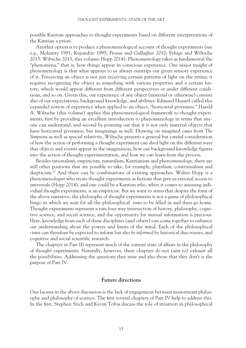possible Kantian approaches to thought experiments based on different interpretations of the Kantian a priori.

Another option is to produce a phenomenological account of thought experiments (see e.g., Mohanty 1991; Kujundzic 1995; Froese and Gallagher 2010; Fehige and Wiltsche 2013; Wiltsche 2013, this volume; Hopp 2014). Phenomenology takes as fundamental the "phenomena," that is, how things appear in conscious experience. One major insight of phenomenology is that what appears to us always outstrips our given sensory experience of it. Perceiving an object is not just receiving certain patterns of light on the retina; it requires recognizing the object as something with various properties and a certain history, which would appear different from different perspectives or under different conditions, and so on. Given this, our experience of any object (material or otherwise) consists also of our expectations, background knowledge, and abilities. Edmund Husserl called this expanded notion of experience when applied to an object, "horizontal givenness." Harald A. Wiltsche (this volume) applies this phenomenological framework to thought experiments, first by providing an excellent introduction to phenomenology in terms that anyone can understand, and second by pointing out that it is not only material objects that have horizontal givenness, but imaginings as well. Drawing on imagined cases from *The Simpsons* as well as special relativity, Wiltsche presents a general but careful consideration of how the action of performing a thought experiment can shed light on the different ways that objects and events appear in the imagination, how our background knowledge figures into the action of thought experimentation, and how we can learn from the process.

Besides rationalism, empiricism, naturalism, Kantianism and phenomenology, there are still other positions that are possible to take, for example, pluralism, contextualism and skepticism.10 And there can be combinations of existing approaches. Walter Hopp is a phenomenologist who treats thought experiments as fictions that give us rational access to universals (Hopp 2014), and one could be a Kantian who, when it comes to assessing individual thought experiments, is an empiricist. But we want to stress that despite the form of the above narrative, the philosophy of thought experiments is not a game of philosophical bingo in which we wait for all the philosophical -isms to be filled in and then go home. Thought experiments represent a rare four-way intersection of history, philosophy, cognitive science, and social science, and the opportunity for mutual information is precious. Here, knowledge from each of these disciplines (and others) can come together to enhance our understanding about the powers and limits of the mind. Each of the philosophical -isms can therefore be expected to inform but also *be informed* by historical discoveries, and cognitive and social scientific research.

The chapters in Part III represent much of the current state of affairs in the philosophy of thought experiments. Naturally, however, these chapters do not (aim to) exhaust all the possibilities. Addressing the questions they raise and also those that they don't is the purpose of Part IV.

#### **Future directions**

One lacuna in the above discussion is the lack of engagement between mainstream philosophy and philosophy of science. The first several chapters of Part IV help to address this. In the first, Stephen Stich and Kevin Tobia discuss the role of intuition in philosophical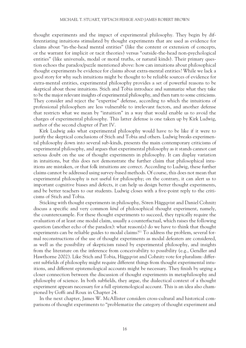thought experiments and the impact of experimental philosophy. They begin by differentiating intuitions stimulated by thought experiments that are used as evidence for claims about "in-the-head mental entities" (like the content or extension of concepts, or the warrant for implicit or tacit theories) versus "outside-the-head non-psychological entities" (like universals, modal or moral truths, or natural kinds). Their primary question echoes the paradox/puzzle mentioned above: how can intuitions about philosophical thought experiments be evidence for claims about extra-mental entities? While we lack a good story for why such intuitions might be thought to be reliable sources of evidence for extra-mental entities, experimental philosophy provides a set of powerful reasons to be skeptical about those intuitions. Stich and Tobia introduce and summarize what they take to be the major relevant insights of experimental philosophy, and then turn to some criticisms. They consider and reject the "expertise" defense, according to which the intuitions of professional philosophers are less vulnerable to irrelevant factors, and another defense that restricts what we mean by "intuition" in a way that would enable us to avoid the charges of experimental philosophy. This latter defense is one taken up by Kirk Ludwig, author of the second chapter of Part IV.

Kirk Ludwig asks what experimental philosophy would have to be like if it were to justify the skeptical conclusions of Stich and Tobia and others. Ludwig breaks experimental philosophy down into several sub-kinds, presents the main contemporary criticisms of experimental philosophy, and argues that experimental philosophy as it stands cannot cast serious doubt on the use of thought experiments in philosophy. It can display variation in intuitions, but this does not demonstrate the further claim that philosophical intuitions are mistaken, or that folk intuitions are correct. According to Ludwig, these further claims cannot be addressed using survey-based methods. Of course, this does not mean that experimental philosophy is not useful for philosophy; on the contrary, it can alert us to important cognitive biases and defects, it can help us design better thought experiments, and be better teachers to our students. Ludwig closes with a five-point reply to the criticisms of Stich and Tobia.

Sticking with thought experiments in philosophy, Sören Häggqvist and Daniel Cohnitz discuss a specific and very common *kind* of philosophical thought experiment, namely, the counterexample. For these thought experiments to succeed, they typically require the evaluation of at least one modal claim, usually a counterfactual, which raises the following question (another echo of the paradox): what reason(s) do we have to think that thought experiments can be reliable guides to modal claims?11 To address the problem, several formal reconstructions of the use of thought experiments as modal defeaters are considered, as well as the possibility of skepticism raised by experimental philosophy, and insights from the literature on the inference from conceivability to possibility (e.g., Gendler and Hawthorne 2002). Like Stich and Tobia, Häggqvist and Cohnitz vote for pluralism: different subfields of philosophy might require different things from thought experimental intuitions, and different epistemological accounts might be necessary. They finish by urging a closer connection between the discussion of thought experiments in metaphilosophy and philosophy of science. In both subfields, they argue, the dialectical context of a thought experiment appears necessary for a full epistemological account. This is an idea also championed by Goffi and Roux in Chapter 24.

In the next chapter, James W. McAllister considers cross-cultural and historical comparisons of thought experiments to "problematize the category of thought experiment and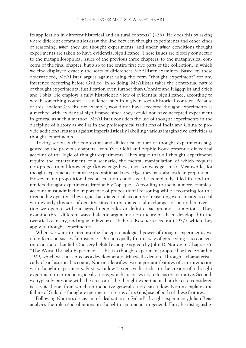its application in different historical and cultural contexts" (425). He does this by asking *where* different communities draw the line between thought experiments and other kinds of reasoning, *when* they use thought experiments, and under *which* conditions thought experiments are taken to have evidential significance. These issues are closely connected to the metaphilosophical issues of the previous three chapters, to the metaphysical concerns of the final chapter, but also to the entire first two parts of the collection, in which we find displayed exactly the sorts of differences McAllister examines. Based on these observations, McAllister argues against using the term "thought experiment" for any inference occurring before Galileo. In so doing, McAllister takes the contextual nature of thought experimental justification even further than Cohnitz and Häggqvist and Stich and Tobia. He employs a fully historicized view of evidential significance, according to which something counts as evidence *only* in a given socio-historical context. Because of this, ancient Greeks, for example, would not have accepted thought experiments as a method with evidential significance since they would not have accepted experiment in general as such a method. McAllister considers the use of thought experiments in the discipline of history as well as in the philosophical traditions of India and China to provide additional reasons against imperialistically labelling various imaginative activities as thought experiments.

Taking seriously the contextual and dialectical nature of thought experiments suggested by the previous chapters, Jean-Yves Goffi and Sophie Roux present a dialectical account of the logic of thought experiments. They argue that all thought experiments require the entertainment of a scenario, the mental manipulation of which requires non-propositional knowledge (knowledge-how, tacit knowledge, etc.). Meanwhile, for thought experiments to produce propositional knowledge, they must also trade in propositions. However, no propositional reconstruction could ever be completely filled in, and this renders thought experiments irreducibly "opaque." According to them, a more complete account must admit the importance of propositional reasoning while accounting for this irreducible opacity. They argue that dialectical accounts of reasoning were created to deal with exactly this sort of opacity, since in the dialectical exchanges of natural conversation we operate without agreed upon rules or definite background assumptions. They examine three different ways dialectic argumentation theory has been developed in the twentieth century, and argue in favour of Nicholas Rescher's account (1977), which they apply to thought experiments.

When we want to circumscribe the epistemological power of thought experiments, we often focus on successful instances. But an equally fruitful way of proceeding is to concentrate on those that fail. One very helpful example is given by John D. Norton in Chapter 25, "The Worst Thought Experiment." This is a thought experiment proposed by Leo Szilard in 1929, which was presented as a development of Maxwell's demon. Through a characteristically clear historical account, Norton identifies two important features of our interaction with thought experiments. First, we allow "extensive latitude" to the creator of a thought experiment in introducing idealizations, which are necessary to focus the narrative. Second, we typically presume with the creator of the thought experiment that the case considered is a typical one, from which an inductive generalization can follow. Norton explains the failure of Szilard's thought experiment in terms of its (mis)use of both of these features.

Following Norton's discussion of idealization in Szilard's thought experiment, Julian Reiss analyzes the role of idealizations in thought experiments in general. First, he distinguishes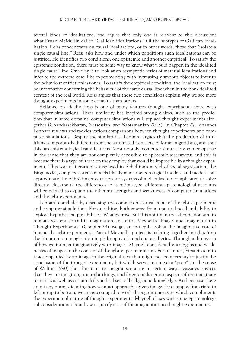several kinds of idealizations, and argues that only one is relevant to this discussion: what Ernan McMullin called "Galilean idealizations." Of the subtypes of Galilean idealization, Reiss concentrates on causal idealizations, or in other words, those that "isolate a single causal line." Reiss asks how and under which conditions such idealizations can be justified. He identifies two conditions, one epistemic and another empirical. To satisfy the epistemic condition, there must be some way to know what would happen in the idealized single causal line. One way is to look at an asymptotic series of material idealizations and infer to the extreme case, like experimenting with increasingly smooth objects to infer to the behaviour of frictionless ones. To satisfy the empirical condition, the idealization must be informative concerning the behaviour of the same causal line when in the non-idealized context of the real world. Reiss argues that these two conditions explain why we see more thought experiments in some domains than others.

Reliance on idealizations is one of many features thought experiments share with computer simulations. Their similarity has inspired strong claims, such as the prediction that in some domains, computer simulations will replace thought experiments altogether (Chandrasekharan, Nersessian, and Subramanian 2013). In Chapter 27, Johannes Lenhard reviews and tackles various comparisons between thought experiments and computer simulations. Despite the similarities, Lenhard argues that the production of intuitions is importantly different from the automated iterations of formal algorithms, and that this has epistemological ramifications. Most notably, computer simulations can be opaque in the sense that they are not completely accessible to epistemic assessment, and this is because there is a type of iteration they employ that would be impossible in a thought experiment. This sort of iteration is displayed in Schelling's model of social segregation, the Ising model, complex systems models like dynamic meteorological models, and models that approximate the Schrödinger equation for systems of molecules too complicated to solve directly. Because of the differences in iteration-type, different epistemological accounts will be needed to explain the different strengths and weaknesses of computer simulations and thought experiments.

Lenhard concludes by discussing the common historical roots of thought experiments and computer simulations. For one thing, both emerge from a natural need and ability to explore hypothetical possibilities. Whatever we call this ability in the silicone domain, in humans we tend to call it imagination. In Letitia Meynell's "Images and Imagination in Thought Experiments" (Chapter 28), we get an in-depth look at the imaginative core of human thought experiments. Part of Meynell's project is to bring together insights from the literature on imagination in philosophy of mind and aesthetics. Through a discussion of how we interact imaginatively with images, Meynell considers the strengths and weaknesses of images in the context of thought experimentation. For instance, Einstein's train is accompanied by an image in the original text that might not be necessary to justify the conclusion of the thought experiment, but which serves as an extra "prop" (in the sense of Walton 1990) that directs us to imagine scenarios in certain ways, reassures novices that they are imagining the right things, and foregrounds certain aspects of the imaginary scenarios as well as certain skills and subsets of background knowledge. And because there aren't any norms dictating how we must approach a given image, for example, from right to left or top to bottom, we are encouraged to work through it ourselves, which compliments the experimental nature of thought experiments. Meynell closes with some epistemological considerations about how to justify uses of the imagination in thought experiments.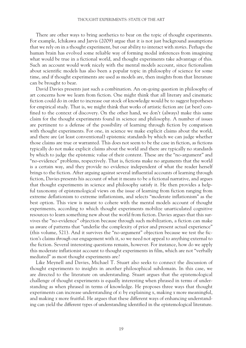There are other ways to bring aesthetics to bear on the topic of thought experiments. For example, Ichikawa and Jarvis (2009) argue that it is not just background assumptions that we rely on in a thought experiment, but our ability to interact with *stories*. Perhaps the human brain has evolved some reliable way of forming modal inferences from imagining what would be true in a fictional world, and thought experiments take advantage of this. Such an account would work nicely with the mental models account, since fictionalism about scientific models has also been a popular topic in philosophy of science for some time, and if thought experiments are used as models are, then insights from that literature can be brought to bear.

David Davies presents just such a combination. An on-going question in philosophy of art concerns how we learn from fiction. One might think that all literary and cinematic fiction could do in order to increase our stock of knowledge would be to *suggest* hypotheses for empirical study. That is, we might think that works of artistic fiction are (at best) confined to the context of discovery. On the other hand, we don't (always) make this same claim for the thought experiments found in science and philosophy. A number of issues are pertinent to a defense of the possibility of learning through fiction by comparison with thought experiments. For one, in science we make explicit claims about the world, and there are (at least conventional) epistemic standards by which we can judge whether those claims are true or warranted. This does not seem to be the case in fiction, as fictions typically do not make explicit claims about the world and there are typically no standards by which to judge the epistemic value of their content. These are the "no-argument" and "no-evidence" problems, respectively. That is, fictions make no arguments that the world is a certain way, and they provide no evidence independent of what the reader herself brings to the fiction. After arguing against several influential accounts of learning through fiction, Davies presents his account of what it means to be a fictional narrative, and argues that thought experiments in science and philosophy satisfy it. He then provides a helpful taxonomy of epistemological views on the issue of learning from fiction ranging from extreme deflationism to extreme inflationism, and selects "moderate inflationism" as the best option. This view is meant to cohere with the mental models account of thought experiments, according to which thought experiments mobilize unarticulated cognitive resources to learn something new about the world from fiction. Davies argues that this survives the "no-evidence" objection because through such mobilization, a fiction can make us aware of patterns that "underlie the complexity of prior and present actual experience" (this volume, 521). And it survives the "no-argument" objection because we test the fiction's claims *through* our engagement with it, so we need not appeal to anything external to the fiction. Several interesting questions remain, however. For instance, how do we apply this moderate inflationist account to thought experiments in film, which are not "verbally mediated" as most thought experiments are?

Like Meynell and Davies, Michael T. Stuart also seeks to connect the discussion of thought experiments to insights in another philosophical subdomain. In this case, we are directed to the literature on understanding. Stuart argues that the epistemological challenge of thought experiments is equally interesting when phrased in terms of understanding as when phrased in terms of knowledge. He proposes three ways that thought experiments can increase understanding of *x*: by explaining *x*, making *x* more meaningful, and making *x* more fruitful. He argues that these different ways of enhancing understanding can yield the different types of understanding identified in the epistemological literature.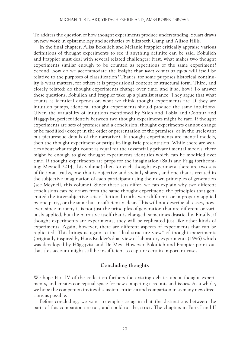To address the question of how thought experiments produce understanding, Stuart draws on new work in epistemology and aesthetics by Elizabeth Camp and Alison Hills.

In the final chapter, Alisa Bokulich and Mélanie Frappier critically appraise various definitions of thought experiments to see if anything definite can be said. Bokulich and Frappier must deal with several related challenges: First, what makes two thought experiments similar enough to be counted as repetitions of the same experiment? Second, how do we accommodate the insight that *what counts as equal* will itself be relative to the purposes of classification? That is, for some purposes historical continuity is what matters, for others it is propositional content or structural form. Third, and closely related: do thought experiments change over time, and if so, how? To answer these questions, Bokulich and Frappier take up a pluralist stance. They argue that what counts as identical depends on what we think thought experiments are. If they are intuition pumps, identical thought experiments should produce the same intuitions. Given the variability of intuitions mentioned by Stich and Tobia and Cohnitz and Häggqvist, perfect identify between two thought experiments might be rare. If thought experiments are sets of premises and a conclusion, thought experiments cannot change or be modified (except in the order or presentation of the premises, or in the irrelevant but picturesque details of the narrative). If thought experiments are mental models, then the thought experiment outstrips its linguistic presentation. While there are worries about what might count as equal for the (essentially private) mental models, there might be enough to give thought experiments identities which can be modified over time. If thought experiments are props for the imagination (Salis and Frigg forthcoming; Meynell 2014, this volume) then for each thought experiment there are two sets of fictional truths, one that is objective and socially shared, and one that is created in the subjective imagination of each participant using their own principles of generation (see Meynell, this volume). Since these sets differ, we can explain why two different conclusions can be drawn from the same thought experiment: the principles that generated the intersubjective sets of fictional truths were different, or improperly applied by one party, or the same but insufficiently clear. This will not describe all cases, however, since in many it is not just the principles of generation that are different or variously applied, but the narrative itself that is changed, sometimes drastically. Finally, if thought experiments are experiments, they will be replicated just like other kinds of experiments. Again, however, there are different aspects of experiments that can be replicated. This brings us again to the "dual-structure view" of thought experiments (originally inspired by Hans Radder's dual view of laboratory experiments (1996) which was developed by Häggqvist and De Mey. However Bokulich and Frappier point out that this account might still be insufficient to capture certain important cases.

#### **Concluding thoughts**

We hope Part IV of the collection furthers the existing debates about thought experiments, and creates conceptual space for new competing accounts and issues. As a whole, we hope the companion invites discussion, criticism and comparison in as many new directions as possible.

Before concluding, we want to emphasize again that the distinctions between the parts of this companion are not, and could not be, strict. The chapters in Parts I and II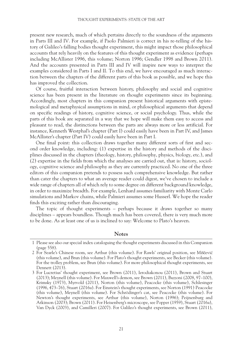present new research, much of which pertains directly to the soundness of the arguments in Parts III and IV. For example, if Paolo Palmieri is correct in his re-telling of the history of Galileo's falling bodies thought experiment, this might impact those philosophical accounts that rely heavily on the features of this thought experiment as evidence (perhaps including McAllister 1996, this volume; Norton 1996; Gendler 1998 and Brown 2011). And the accounts presented in Parts III and IV will inspire new ways to interpret the examples considered in Parts I and II. To this end, we have encouraged as much interaction between the chapters of the different parts of this book as possible, and we hope this has improved the collection.

Of course, fruitful interaction between history, philosophy and social and cognitive science has been present in the literature on thought experiments since its beginning. Accordingly, most chapters in this companion present historical arguments with epistemological and metaphysical assumptions in mind, or philosophical arguments that depend on specific readings of history, cognitive science, or social psychology. Thus, while the parts of this book are separated in a way that we hope will make them easy to access and pleasant to read, the distinctions between the parts are always more or less artificial. For instance, Kenneth Westphal's chapter (Part I) could easily have been in Part IV, and James McAllister's chapter (Part IV) could easily have been in Part I.

One final point: this collection draws together many different sorts of first and second order knowledge, including: (1) expertise in the history and methods of the disciplines discussed in the chapters (theology, history, philosophy, physics, biology, etc.), and (2) expertise in the fields from which the analyses are carried out, that is: history, sociology, cognitive science and philosophy as they are currently practiced. No one of the three editors of this companion pretends to possess such comprehensive knowledge. But rather than cater the chapters to what an average reader could digest, we've chosen to include a wide range of chapters all of which rely to some degree on different background knowledge, in order to maximize breadth. For example, Lenhard assumes familiarity with Monte Carlo simulations and Markov chains, while Palmieri assumes some Husserl. We hope the reader finds this exciting rather than discouraging.

The topic of thought experiments – perhaps because it draws together so many disciplines – appears boundless. Though much has been covered, there is very much more to be done. As at least one of us is inclined to say: Welcome to Plato's heaven.

**Notes**

<sup>1</sup> Please see also our special index cataloguing the thought experiments discussed in this Companion (page 558).

<sup>2</sup> For Searle's Chinese room, see Arthur (this volume). For Rawls' original position, see Miščević (this volume), and Brun (this volume). For Plato's thought experiments, see Becker (this volume). For the trolley problem, see Brun (this volume). For more philosophical thought experiments, see Dennett (2013).

<sup>3</sup> For Lucretius' thought experiment, see Brown (2011), Ierodiakonou (2011), Brown and Stuart (2013); Meynell (this volume). For Maxwell's demon, see Brown (2011), Buzzoni (2008, 97–100), Krimsky (1973), Myrvold (2011), Norton (this volume), Peacocke (this volume), Schlesinger (1996, 473–76), Stuart (2016a). For Einstein's thought experiments, see Norton (1991) Peacocke (this volume), Meynell (this volume). For Schrödinger's cat, see Peacocke (this volume). For Newton's thought experiments, see Arthur (this volume), Norton (1996); Peijnenburg and Atkinson (2003); Brown (2011). For Heisenberg's microscope, see Popper (1959), Stuart (2016a), Van Dyck (2003), and Camilleri (2007). For Galileo's thought experiments, see Brown (2011),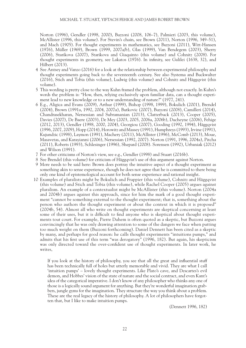Norton (1996), Gendler (1998, 2000), Buzzoni (2008, 106–7), Palmieri (2003, this volume), McAllister (1996, this volume). For Stevin's chain, see Brown (2011), Norton (1996, 349–51), and Mach (1905). For thought experiments in mathematics, see Buzzoni (2011), Witt-Hansen (1976), Müller (1969), Brown (1999, 2007a/b), Glas (1999), Van Bendegem (2003), Sherry (2006), Starikova (2007), Starikova and Giaquinto (this volume) and Cohnitz (2008). For thought experiments in geometry, see Lakatos (1976). In infinity, see Galilei (1638, 32), and Hilbert (2013).

- 4 See Antsey and Vanzo (2016) for a look at the relationship between experimental philosophy and thought experiments going back to the seventeenth century. See also Systema and Buckwalter (2016), Stich and Tobia (this volume), Ludwig (this volume) and Cohnitz and Häggqvist (this volume).
- 5 This wording is pretty close to the way Kuhn framed the problem, although not exactly. In Kuhn's words the problem is: "How, then, relying exclusively upon familiar data, can a thought experiment lead to new knowledge or to a new understanding of nature?" (1977, 241).
- 6 E.g., Aligica and Evans (2009), Arthur (1999), Bishop (1998, 1999), Bokulich (2001), Brendel (2004), Brown (1991a, 1992, 2004, 2007a), Butkovic (2007), Buzzoni (2008), Camilleri (2014), Chandrasekharan, Nersessian and Subramanian (2013), Clatterbuck (2013), Cooper (2005), Davies (2007), De Baere (2003), De Mey (2003, 2005, 2006a, 2006b), Ducheyne (2006), Fehige (2012, 2013), Gendler (1998, 2000, 2004), Georgiou (2007), Gooding (1992, 1994), Häggqvist (1996, 2007, 2009), Hopp (2014), Horowitz and Massey (1991), Humphreys (1993), Irvine (1991), Kujundzic (1998), Laymon (1991), Machery (2011), McAllister (1996), McComb (2013), Moue, Masavetas, and Karayianni (2006), Nersessian (1992, 2007). Norton (1991, 1996, 2004a), Pitcha (2011), Roberts (1993), Schlesinger (1996), Shepard (2008). Sorensen (1992), Urbaniak (2012) and Wilson (1991).
- 7 For other criticisms of Norton's view, see e.g., Gendler (1998) and Stuart (2016b).
- 8 See Brendel (this volume) for criticism of Häggqvist's use of this argument against Norton.
- 9 More needs to be said here: Brown does portray the intuitive aspect of a thought experiment as something akin to sense experience, though he does not agree that he is committed to there being only one kind of epistemological account for both sense experience and rational insight.
- 10 Examples of pluralists might be Bokulich and Frappier (this volume), Cohnitz and Häggqvist (this volume) and Stich and Tobia (this volume), while Rachel Cooper (2005) argues against pluralism. An example of a contextualist might be McAllister (this volume). Norton (2004a and 2004b) argues against this approach, since for him the mark of a good thought experiment "cannot be something external to the thought experiment; that is, something about the person who authors the thought experiment or about the context in which it is proposed" (2004b, 54). Almost all who write on thought experiments are skeptical concerning at least some of their uses, but it is difficult to find anyone who is skeptical about thought experiments tout court. For example, Pierre Duhem is often quoted as a skeptic, but Buzzoni argues convincingly that he was only drawing attention to some of the dangers we face when putting too much weight on them (Buzzoni forthcoming). Daniel Dennett has been cited as a skeptic by many, and perhaps for good reason: he calls thought experiments "intuitions pumps," and admits that his first use of this term "was derogatory" (1996, 182). But again, his skepticism was only directed toward the over-confident use of thought experiments. In later work, he writes,

If you look at the history of philosophy, you see that all the great and influential stuff has been technically full of holes but utterly memorable and vivid. They are what I call 'intuition pumps' – lovely thought experiments. Like Plato's cave, and Descartes's evil demon, and Hobbes' vision of the state of nature and the social contract, and even Kant's idea of the categorical imperative. I don't know of any philosopher who thinks any one of those is a logically sound argument for anything. But they're wonderful imagination grabbers, jungle gyms for the imagination. They structure the way you think about a problem. These are the real legacy of the history of philosophy. A lot of philosophers have forgotten that, but I like to make intuition pumps.

(Dennett 1996, 182)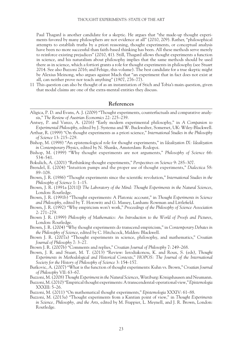Paul Thagard is another candidate for a skeptic. He argues that "the made-up thought experiments favored by many philosophers are not evidence at all" (2010, 209). Rather, "philosophical attempts to establish truths by a priori reasoning, thought experiments, or conceptual analysis have been no more successful than faith-based thinking has been. All these methods serve merely to reinforce existing prejudices" (2010, 41). Still, Thagard allows thought experiments a function in science, and his naturalism about philosophy implies that the same methods should be used there as in science, which a fortiori grants a role for thought experiments in philosophy (see Stuart 2014. See also Buzzoni 2016; and Fehige, this volume). The best candidate for a true skeptic might be Alexius Meinong, who argues against Mach that "an experiment that in fact does not exist at all, can neither prove nor teach anything" (1907, 276–77).

11 This question can also be thought of as an instantiation of Stich and Tobia's main question, given that modal claims are one of the extra-mental entities they discuss.

#### **References**

- Aligica, P. D. and Evans, A. J. (2009) "Thought experiments, counterfactuals and comparative analysis," *The Review of Austrian Economics* 22: 225–239.
- Antsey, P. and Vanzo, A. (2016) "Early modern experimental philosophy," in *A Companion to Experimental Philosophy*, edited by J. Systema and W. Buckwalter, Somerset, UK: Wiley-Blackwell.
- Arthur, R. (1999) "On thought experiments as a priori science," *International Studies in the Philosophy of Science* 13: 215–229.
- Bishop, M. (1998) "An epistemological role for thought experiments," in *Idealization IX: Idealization in Contemporary Physics*, edited by N. Shanks, Amsterdam: Rodopoi.
- Bishop, M. (1999) "Why thought experiments are not arguments," *Philosophy of Science* 66: 534–541.
- Bokulich, A. (2001) "Rethinking thought experiments," *Perspectives on Science* 9: 285–307.
- Brendel, E. (2004) "Intuition pumps and the proper use of thought experiments," *Dialectica* 58: 89–108.
- Brown, J. R. (1986) "Thought experiments since the scientific revolution," *International Studies in the Philosophy of Science* 1: 1–15.
- Brown, J. R. (1991a [2011]) *The Laboratory of the Mind: Thought Experiments in the Natural Sciences*, London: Routledge.
- Brown, J. R. (1991b) "Thought experiments: A Platonic account," in *Thought Experiments in Science and Philosophy*, edited by T. Horowitz and G. Massey, Lanham: Rowman and Littlefield.
- Brown, J. R. (1992) "Why empiricism won't work," *Proceedings of the Philosophy of Science Association* 2: 271–279.
- Brown J. R. (1999) *Philosophy of Mathematics: An Introduction to the World of Proofs and Pictures*, London: Routledge.
- Brown, J. R. (2004) "Why thought experiments do transcend empiricism," in *Contemporary Debates in the Philosophy of Science*, edited by C. Hitchcock, Malden: Blackwell.
- Brown J. R. (2007a) "Thought experiments in science, philosophy, and mathematics," *Croatian Journal of Philosophy* 7: 3–27.
- Brown J. R. (2007b) "Comments and replies," *Croatian Journal of Philosophy* 7: 249–268.
- Brown, J. R. and Stuart, M. T. (2013) "Review: Ierodiakonou, K. and Roux, S. (eds), *Thought Experiments in Methodological and Historical Contexts*," *HOPOS: The Journal of the International Society for the History of Philosophy of Science* 3: 154–157.
- Butkovic, A. (2007) "What is the function of thought experiments: Kuhn vs. Brown," *Croatian Journal of Philosophy* VII: 63–67.
- Buzzoni, M. (2008) *Thought Experiment in the Natural Sciences*, Würzburg: Königshausen and Neumann.
- Buzzoni, M. (2010) "Empirical thought experiments: A transcendental-operational view," *Epistemologia* XXXIII: 5–26.
- Buzzoni, M. (2011) "On mathematical thought experiments," *Epistemologia* XXXIV: 61–88.
- Buzzoni, M. (2013a) "Thought experiments from a Kantian point of view," in *Thought Experiments in Science, Philosophy, and the Arts*, edited by M. Frappier, L. Meynell, and J. R. Brown, London: Routledge.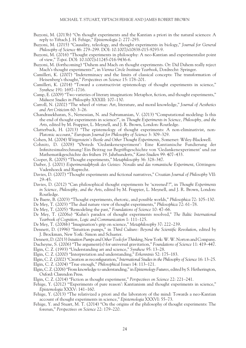- Buzzoni, M. (2013b) "On thought experiments and the Kantian a priori in the natural sciences: A reply to Yiftach J. H. Fehige," *Epistemologia* 2: 277–293.
- Buzzoni, M. (2015) "Causality, teleology, and thought experiments in biology," *Journal for General Philosophy of Science* 46: 279–299. DOI: 10.1007/s10838-015-9293-9.
- Buzzoni, M. (2016) "Thought experiments in philosophy: A neo-Kantian and experimentalist point of view," *Topoi*. DOI: 10.1007/s11245-016-9436-6.
- Buzzoni, M. (forthcoming) "Duhem and Mach on thought experiments. Or: Did Duhem really reject Mach's thought experiments?", in *Vienna Circle Institute Yearbook*, Dordrecht: Springer.
- Camilleri, K. (2007) "Indeterminacy and the limits of classical concepts: The transformation of Heisenberg's thought," *Perspectives on Science* 15: 178–201.
- Camilleri, K. (2014) "Toward a constructivist epistemology of thought experiments in science," *Synthese* 191: 1697–1716.
- Camp, E. (2009) "Two varieties of literary imagination: Metaphor, fiction, and thought experiments," *Midwest Studies in Philosophy* XXXIII: 107–130.
- Carroll, N. (2002) "The wheel of virtue: Art, literature, and moral knowledge," *Journal of Aesthetics and Art Criticism* 60: 3–26.
- Chandrasekharan, S., Nersessian, N. and Subramanian, V. (2013) "Computational modeling: Is this the end of thought experiments in science?", in *Thought Experiments in Science, Philosophy, and the Arts*, edited by M. Frappier, L. Meynell, and J. R. Brown, London: Routledge.
- Clatterbuck, H. (2013) "The epistemology of thought experiments: A non-eliminativist, non-Platonic account," *European Journal for Philosophy of Science* 3: 309–329.
- Cohen, M. (2004) *Wittgenstein's Beetle and Other Thought Experiments*, Somerset: Wiley-Blackwell.
- Cohnitz, D. (2008) "Ørsteds 'Gedankenexperiment': Eine Kantianische Fundierung der Infinitesimalrechnung? Ein Beitrag zur Begriffsgeschichte von 'Gedankenexperiment' und zur Mathematikgeschichte des frühen 19. Jahrhunderts," *Kant-Studien* 99: 407–433.
- Cooper, R. (2005) "Thought experiments," *Metaphilosophy* 36: 328–347.
- Daiber, J. (2001) *Experimentalphysik des Geistes: Novalis und das romantische Experiment*, Göttingen: Vadenhoeck and Ruprecht.
- Davies, D. (2007) "Thought experiments and fictional narratives," *Croatian Journal of Philosophy* VII: 29–45.
- Davies, D. (2012) "Can philosophical thought experiments be 'screened'?", in *Thought Experiments in Science, Philosophy, and the Arts*, edited by M. Frappier, L. Meynell, and J. R. Brown, London: Routledge.
- De Baere, B. (2003) "Thought experiments, rhetoric, and possible worlds," *Philosophica* 72: 105–130.
- De Mey, T. (2003) "The dual nature view of thought experiments," *Philosophica* 72: 61–78.
- De Mey, T. (2005) "Remodeling the past," *Foundations of Science* 10: 47–66.
- De Mey, T. (2006a) "Kuhn's paradox of thought experiments resolved," *The Baltic International Yearbook of Cognition, Logic and Communication* 1: 111–125.
- De Mey, T. (2006b) "Imagination's grip on science," *Metaphilosophy* 37: 222–239.
- Dennett, D. (1996) "Intuition pumps," in *Third Culture: Beyond the Scientific Revolution*, edited by J. Brockman, New York: Simon and Schuster.
- Dennett, D. (2013) *Intuition Pumps and Other Tools for Thinking*, New York: W. W. Norton and Company.
- Ducheyne, S. (2006) "The argument(s) for universal gravitation," *Foundations of Science* 11: 419–447.
- Elgin, C. Z. (1993) "Understanding art and science," *Synthese* 95: 13–28.
- Elgin, C. Z. (2000) "Interpretation and understanding," *Erkenntnis* 52: 175–183.
- Elgin, C. Z. (2002) "Creation as reconfiguration," *International Studies in the Philosophy of Science* 16: 13–25.
- Elgin, C. Z. (2004) "True enough," *Philosophical Issues* 14: 113–121.
- Elgin, C. Z. (2006) "From knowledge to understanding," in *Epistemology Futures*, edited by S. Hetherington, Oxford: Clarendon Press.
- Elgin, C. Z. (2014) "Fiction as thought experiment," *Perspectives on Science* 22: 221–241.
- Fehige, Y. (2012) "'Experiments of pure reason': Kantianism and thought experiments in science," *Epistemologia* XXXV: 141–160.
- Fehige, Y. (2013) "The relativized a priori and the laboratory of the mind: Towards a neo-Kantian account of thought experiments in science," *Epistemologia* XXXVI: 55–73.
- Fehige, Y. and Stuart, M. T. (2014) "On the origins of the philosophy of thought experiments: The forerun," *Perspectives on Science* 22: 179–220.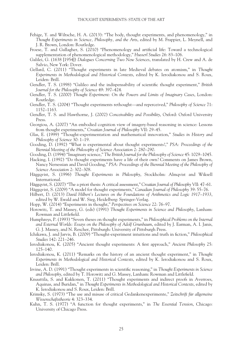- Fehige, Y. and Wiltsche, H. A. (2013): "The body, thought experiments, and phenomenology," in *Thought Experiments in Science, Philosophy, and the Arts*, edited by M. Frappier, L. Meynell, and J. R. Brown, London: Routledge.
- Froese, T. and Gallagher, S. (2010) "Phenomenology and artificial life: Toward a technological supplementation of phenomenological methodology," *Husserl Studies* 26: 83–106.
- Galilei, G. (1638 [1954]) *Dialogues Concerning Two New Sciences*, translated by H. Crew and A. de Salvio, New York: Dover.
- Gellard, C. (2011) "Thought experiments in late Medieval debates on atomism," in *Thought Experiments in Methodological and Historical Contexts*, edited by K. Ierodiakonou and S. Roux, Leiden: Brill.
- Gendler, T. S. (1998) "Galileo and the indispensability of scientific thought experiment," *British Journal for the Philosophy of Science* 49: 397–424.
- Gendler, T. S. (2000) *Thought Experiment: On the Powers and Limits of Imaginary Cases*, London: Routledge.
- Gendler, T. S. (2004) "Thought experiments rethought—and reperceived," *Philosophy of Science* 71: 1152–1163.
- Gendler, T. S. and Hawthorne, J. (2002) *Conceivability and Possibility*, Oxford: Oxford University Press.
- Georgiou, A. (2007) "An embodied cognition view of imagery-based reasoning in science: Lessons from thought experiments," *Croatian Journal of Philosophy* VII: 29–45.
- Glas, E. (1999) "Thought-experimentation and mathematical innovation," *Studies in History and Philosophy of Science* 30: 1–19.
- Gooding, D. (1992) "What is experimental about thought experiments?," *PSA: Proceedings of the Biennial Meeting of the Philosophy of Science Association* 2: 280–290.
- Gooding, D. (1994) "Imaginary science," *The British Journal for the Philosophy of Science* 45: 1029–1045.
- Hacking, I. (1992) "Do thought experiments have a life of their own? Comments on James Brown, Nancy Nersessian and David Gooding," *PSA: Proceedings of the Biennial Meeting of the Philosophy of Science Association* 2: 302–308.
- Häggqvist, S. (1996) *Thought Experiments in Philosophy*, Stockholm: Almqvist and Wiksell International.
- Häggqvist, S. (2007) "The a priori thesis: A critical assessment," *Croatian Journal of Philosophy* VII: 47–61.
- Häggqvist, S. (2009) "A model for thought experiments," *Canadian Journal of Philosophy* 39: 55–76.
- Hilbert, D. (2013) *David Hilbert's Lectures on the Foundations of Arithmetics and Logic 1917–1933*, edited by W. Ewald and W. Sieg, Heidelberg: Springer-Verlag.
- Hopp, W. (2014) "Experiments in thought," *Perspectives on Science* 22: 76–97.
- Horowitz, T. and Massey, G. (eds) (1991) *Thought Experiments in Science and Philosophy*, Lanham: Rowman and Littlefield.
- Humphreys, P. (1993) "Seven theses on thought experiments," in *Philosophical Problems on the Internal and External Worlds: Essays on the Philosophy of Adolf Grunbaum*, edited by J. Earman, A. I. Janis, G. J. Massey, and N. Rescher, Pittsburgh: University of Pittsburgh Press.
- Ichikawa, J. and Jarvis, B. (2009) "Thought-experiment intuitions and truth in fiction," *Philosophical Studies* 142: 221–246.
- Ierodiakonou, K. (2005) "Ancient thought experiments: A first approach," *Ancient Philosophy* 25: 125–140.
- Ierodiakonou, K. (2011) "Remarks on the history of an ancient thought experiment," in *Thought Experiments in Methodological and Historical Contexts*, edited by K. Ierodiakonou and S. Roux, Leiden: Brill.
- Irvine, A. D. (1991) "Thought experiments in scientific reasoning," in *Thought Experiments in Science and Philosophy*, edited by T. Horowitz and G. Massey, Lanham: Rowman and Littlefield.
- Knuuttila, S. and Kukkonen, T. (2011) "Thought experiments and indirect proofs in Averroes, Aquinas, and Buridan," in *Thought Experiments in Methodological and Historical Contexts*, edited by K. Ierodiakonou and S. Roux, Leiden: Brill.
- Krimsky, S. (1973) "The use and misuse of critical Gedankenexperimente," *Zeitschrift für allgemeine Wissenschaftstheorie* 4: 323–334.
- Kuhn, T. S. (1977) "A function for thought experiments," in *The Essential Tension*, Chicago: University of Chicago Press.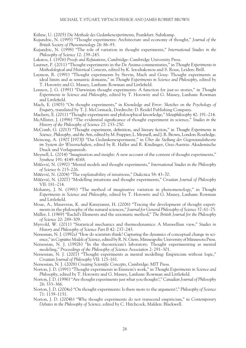Kühne, U. (2005) *Die Methode des Gedankenexperiments*, Frankfurt: Suhrkamp.

- Kujundzic, N. (1995) "Thought experiments: Architecture and economy of thought," *Journal of the British Society of Phenomenology* 26: 86–93.
- Kujundzic, N. (1998) "The role of variation in thought experiments," *International Studies in the Philosophy of Science* 12: 239–243.
- Lakatos, I. (1976) *Proofs and Refutations*, Cambridge: Cambridge University Press.
- Lautner, P. (2011) "Thought experiments in the De Anima commentaries," in *Thought Experiments in Methodological and Historical Contexts*, edited by K. Ierodiakonou and S. Roux, Leiden: Brill.
- Laymon, R. (1991) "Thought experiments by Stevin, Mach and Gouy: Thought experiments as ideal limits and as semantic domains," in *Thought Experiments in Science and Philosophy*, edited by T. Horowitz and G. Massey, Lanham: Rowman and Littlefield.
- Lennox, J. G. (1991) "Darwinian thought experiments: A function for just-so stories," in *Thought Experiments in Science and Philosophy*, edited by T. Horowitz and G. Massey, Lanham: Rowman and Littlefield.
- Mach, E. (1905) "On thought experiments," in *Knowledge and Error: Sketches on the Psychology of Enquiry*, translated by T. J. McCormack, Dordrecht: D. Reidel Publishing Company.
- Machery, E. (2011) "Thought experiments and philosophical knowledge," *Metaphilosophy* 42: 191–214.
- McAllister, J. (1996) "The evidential significance of thought experiment in science," *Studies in the History of the Philosophy of Science* 27: 233–250.
- McComb, G. (2013) "Thought experiment, definition, and literary fiction," in *Thought Experiments in Science, Philosophy, and the Arts*, edited by M. Frappier, L. Meynell, and J. R. Brown, London: Routledge.
- Meinong, A. (1907 [1973]) "Das Gedankenexperiment," in *Über die Stellung der Gegenstandstheorie im System der Wissenschaften*, edited by R. Haller and R. Kindinger, Graz-Austria: Akademische Druck und Verlagsanstalt.
- Meynell, L. (2014) "Imagination and insight: A new account of the content of thought experiments," *Synthese* 191: 4149–4168.
- Miščević, N. (1992) "Mental models and thought experiments," *International Studies in the Philosophy of Science* 6: 215–226.
- Miščević, N. (2004) "The explainability of intuitions," *Dialectica* 58: 43–70.
- Miščević, N. (2007) "Modelling intuitions and thought experiments," *Croatian Journal of Philosophy* VII: 181–214.
- Mohanty, J. N. (1991) "The method of imaginative variation in phenomenology," in *Thought Experiments in Science and Philosophy*, edited by T. Horowitz and G. Massey, Lanham: Rowman and Littlefield.
- Moue, A., Masavetas, K. and Karayianni, H. (2006) "Tracing the development of thought experiments in the philosophy of the natural sciences," *Journal for General Philosophy of Science* 37: 61–75.
- Müller, I. (1969) "Euclid's Elements and the axiomatic method," *The British Journal for the Philosophy of Science* 20: 289–309.
- Myrvold, W. (2011) "Statistical mechanics and thermodynamics: A Maxwellian view," *Studies in History and Philosophy of Science Part B* 42: 237–243.
- Nersessian, N. J. (1992a) "How do scientists think? Capturing the dynamics of conceptual change in science," in *Cognitive Models of Science*, edited by R. N. Giere, Minneapolis: University of Minnesota Press.
- Nersessian, N. J. (1992b) "In the theoretician's laboratory: Thought experimenting as mental modeling," *Proceedings of the Philosophy of Science Association* 2: 291–301.
- Nersessian, N. J. (2007) "Thought experiments as mental modelling: Empiricism without logic," *Croatian Journal of Philosophy* VII: 125–161.
- Nersessian, N. J. (2008) *Creating Scientific Concepts*, Cambridge: MIT Press.
- Norton, J. D. (1991) "Thought experiments in Einstein's work," in *Thought Experiments in Science and Philosophy*, edited by T. Horowitz and G. Massey, Lanham: Rowman and Littlefield.
- Norton, J. D. (1996) "Are thought experiments just what you thought?," *Canadian Journal of Philosophy* 26: 333–366.
- Norton, J. D. (2004a) "On thought experiments: Is there more to the argument?," *Philosophy of Science*  71: 1139–1151.
- Norton, J. D. (2004b) "Why thought experiments do not transcend empiricism," in *Contemporary Debates in the Philosophy of Science*, edited by C. Hitchcock, Malden: Blackwell.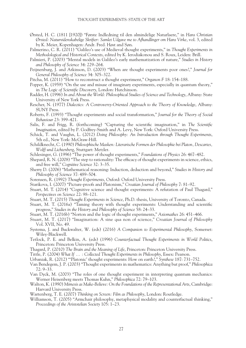- Ørsted, H. C. (1811 [1920]) "Første Indledning til den almindelige Naturlaere," in *Hans Christian Ørsted: Naturvidenskabelige Skrifter: Samlet Udgave me to Afhandlinger om Hans Virke*, vol. 3, edited by K. Meier, Kopenhagen: Andr. Fred. Høst and Søn.
- Palmerino, C. R. (2011) "Galileo's use of Medieval thought experiments," in *Thought Experiments in Methodological and Historical Contexts*, edited by K. Ierodiakonou and S. Roux, Leiden: Brill.
- Palmieri, P. (2003) "Mental models in Galileo's early mathematization of nature," *Studies in History and Philosophy of Science* 34: 229–264.
- Peijnenburg, J. and Atkinson, D. (2003) "When are thought experiments poor ones?," *Journal for General Philosophy of Science* 34: 305–322.
- Pitcha, M. (2011) "How to reconstruct a thought experiment," *Organon F* 18: 154–188.
- Popper, K. (1959) "On the use and misuse of imaginary experiments, especially in quantum theory," in *The Logic of Scientific Discovery*, London: Hutchinson.
- Radder, H. (1996) *In and About the World: Philosophical Studies of Science and Technology*, Albany: State University of New York Press.
- Rescher, N. (1977) *Dialectics: A Controversy-Oriented Approach to the Theory of Knowledge*, Albany: SUNY Press.
- Roberts, F. (1993) "Thought experiments and social transformation," *Journal for the Theory of Social Behaviour* 23: 399–421.
- Salis, F. and Frigg, R. (forthcoming) "Capturing the scientific imagination," in *The Scientific Imagination*, edited by P. Godfrey-Smith and A. Levy, New York: Oxford University Press.
- Schick, T. and Vaughn, L. (2012) *Doing Philosophy: An Introduction through Thought Experiments*, 5th ed., New York: McGraw-Hill.
- Schildknecht, C. (1990) *Philosophische Masken: Literarische Formen der Philosophie bei Platon, Descartes, Wolff und Lichtenberg*, Stuttgart: Metzler.
- Schlesinger, G. (1996) "The power of thought experiments," *Foundations of Physics* 26: 467–482.
- Shepard, R. N. (2008) "The step to rationality: The efficacy of thought experiments in science, ethics, and free will," *Cognitive Science* 32: 3–35.
- Sherry D. (2006) "Mathematical reasoning: Induction, deduction and beyond," *Studies in History and Philosophy of Science* 37: 489–504.
- Sorensen, R. (1992) *Thought Experiments*, Oxford: Oxford University Press.
- Starikova, I. (2007) "Picture-proofs and Platonism," *Croatian Journal of Philosophy* 7: 81–92.
- Stuart, M. T. (2014) "Cognitive science and thought experiments: A refutation of Paul Thagard," *Perspectives on Science* 22: 98–121.
- Stuart, M. T. (2015) *Thought Experiments in Science*, Ph.D. thesis, University of Toronto, Canada.
- Stuart, M. T. (2016a) "Taming theory with thought experiments: Understanding and scientific progress," *Studies in the History and Philosophy of Science* 58: 24–33.
- Stuart, M. T. (2016b) "Norton and the logic of thought experiments," *Axiomathes* 26: 451–466.
- Stuart, M. T. (2017) "Imagination: A sine qua non of science," *Croatian Journal of Philosophy* Vol. XVII, No. 49.
- Systema, J. and Buckwalter, W. (eds) (2016) *A Companion to Experimental Philosophy*, Somerset: Wiley-Blackwell.
- Tetlock, P. E. and Belkin, A. (eds) (1996) *Counterfactual Thought Experiments in World Politics*, Princeton: Princeton University Press.
- Thagard, P. (2010) *The Brain and the Meaning of Life*, Princeton: Princeton University Press.
- Tittle, P. (2004) *What If ... : Collected Thought Experiments in Philosophy*, Essex: Pearson.
- Urbaniak, R. (2012) "'Platonic' thought experiments: How on earth?," *Synthese* 187: 731–752.
- Van Bendegem, J. P. (2003) "Thought experiments in mathematics: Anything but proof," *Philosophica* 72: 9–33.
- Van Dyck, M. (2003) "The roles of one thought experiment in interpreting quantum mechanics: Werner Heisenberg meets Thomas Kuhn," *Philosophica* 72: 79–103.
- Walton, K. (1990) *Mimesis as Make-Believe: On the Foundations of the Representational Arts*, Cambridge: Harvard University Press.
- Wartenberg, T. E. (2007) *Thinking on Screen: Film as Philosophy*, London: Routledge.
- Williamson, T. (2005) "Armchair philosophy, metaphysical modality and counterfactual thinking," *Proceedings of the Aristotelian Society* 105: 1–23.